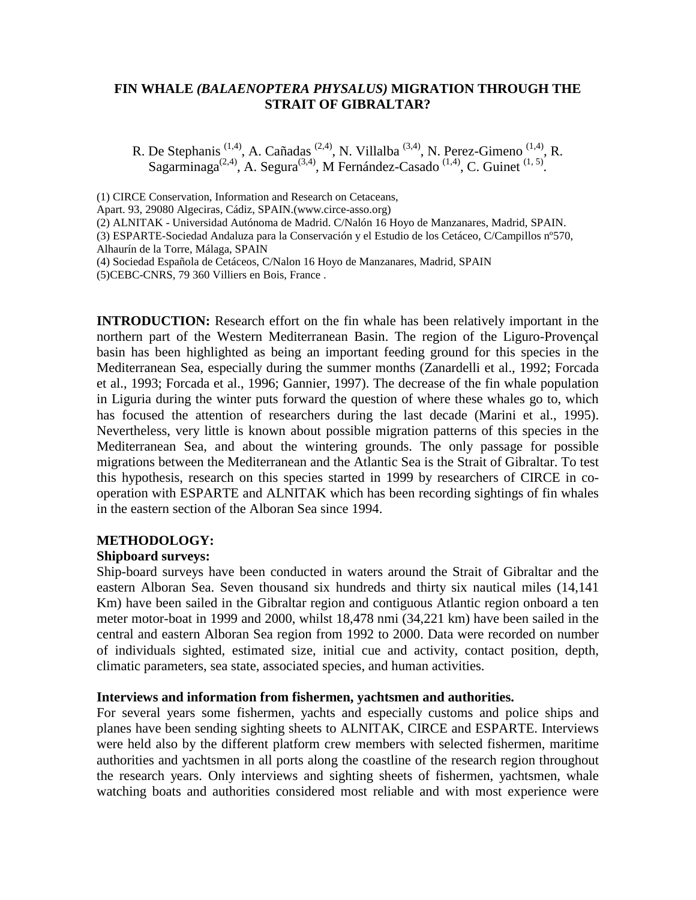# **FIN WHALE** *(BALAENOPTERA PHYSALUS)* **MIGRATION THROUGH THE STRAIT OF GIBRALTAR?**

R. De Stephanis<sup>(1,4)</sup>, A. Cañadas<sup>(2,4)</sup>, N. Villalba<sup>(3,4)</sup>, N. Perez-Gimeno<sup>(1,4)</sup>, R. Sagarminaga<sup>(2,4)</sup>, A. Segura<sup>(3,4)</sup>, M Fernández-Casado<sup>(1,4)</sup>, C. Guinet<sup>(1,5)</sup>.

(1) CIRCE Conservation, Information and Research on Cetaceans,

Apart. 93, 29080 Algeciras, Cádiz, SPAIN.(www.circe-asso.org)

(2) ALNITAK - Universidad Autónoma de Madrid. C/Nalón 16 Hoyo de Manzanares, Madrid, SPAIN.

(3) ESPARTE-Sociedad Andaluza para la Conservación y el Estudio de los Cetáceo, C/Campillos nº570, Alhaurín de la Torre, Málaga, SPAIN

**INTRODUCTION:** Research effort on the fin whale has been relatively important in the northern part of the Western Mediterranean Basin. The region of the Liguro-Provençal basin has been highlighted as being an important feeding ground for this species in the Mediterranean Sea, especially during the summer months (Zanardelli et al., 1992; Forcada et al., 1993; Forcada et al., 1996; Gannier, 1997). The decrease of the fin whale population in Liguria during the winter puts forward the question of where these whales go to, which has focused the attention of researchers during the last decade (Marini et al., 1995). Nevertheless, very little is known about possible migration patterns of this species in the Mediterranean Sea, and about the wintering grounds. The only passage for possible migrations between the Mediterranean and the Atlantic Sea is the Strait of Gibraltar. To test this hypothesis, research on this species started in 1999 by researchers of CIRCE in cooperation with ESPARTE and ALNITAK which has been recording sightings of fin whales in the eastern section of the Alboran Sea since 1994.

## **METHODOLOGY:**

## **Shipboard surveys:**

Ship-board surveys have been conducted in waters around the Strait of Gibraltar and the eastern Alboran Sea. Seven thousand six hundreds and thirty six nautical miles (14,141 Km) have been sailed in the Gibraltar region and contiguous Atlantic region onboard a ten meter motor-boat in 1999 and 2000, whilst 18,478 nmi (34,221 km) have been sailed in the central and eastern Alboran Sea region from 1992 to 2000. Data were recorded on number of individuals sighted, estimated size, initial cue and activity, contact position, depth, climatic parameters, sea state, associated species, and human activities.

## **Interviews and information from fishermen, yachtsmen and authorities.**

For several years some fishermen, yachts and especially customs and police ships and planes have been sending sighting sheets to ALNITAK, CIRCE and ESPARTE. Interviews were held also by the different platform crew members with selected fishermen, maritime authorities and yachtsmen in all ports along the coastline of the research region throughout the research years. Only interviews and sighting sheets of fishermen, yachtsmen, whale watching boats and authorities considered most reliable and with most experience were

<sup>(4)</sup> Sociedad Española de Cetáceos, C/Nalon 16 Hoyo de Manzanares, Madrid, SPAIN (5)CEBC-CNRS, 79 360 Villiers en Bois, France .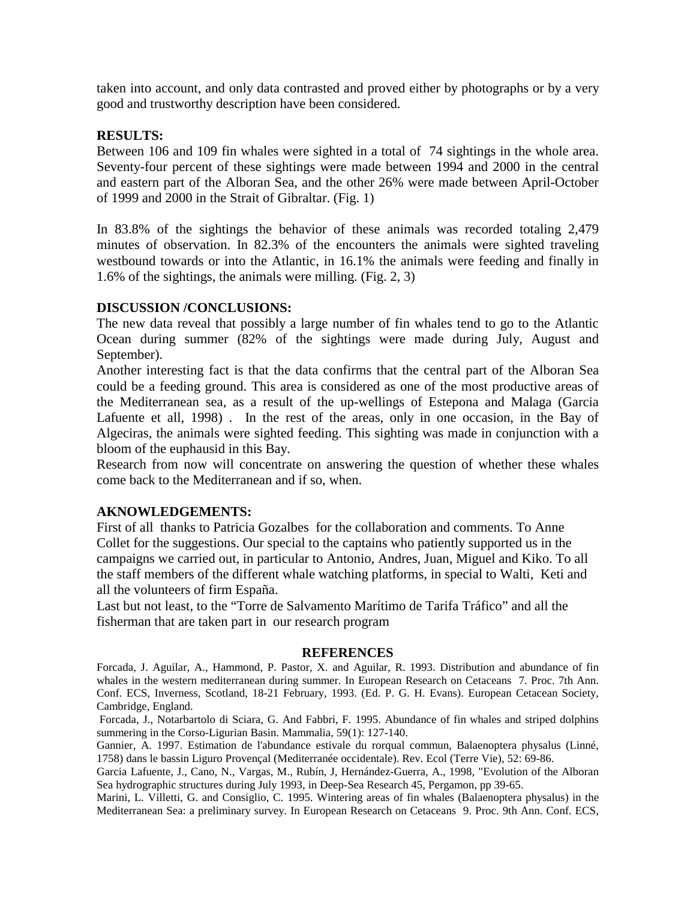taken into account, and only data contrasted and proved either by photographs or by a very good and trustworthy description have been considered.

### **RESULTS:**

Between 106 and 109 fin whales were sighted in a total of 74 sightings in the whole area. Seventy-four percent of these sightings were made between 1994 and 2000 in the central and eastern part of the Alboran Sea, and the other 26% were made between April-October of 1999 and 2000 in the Strait of Gibraltar. (Fig. 1)

In 83.8% of the sightings the behavior of these animals was recorded totaling 2,479 minutes of observation. In 82.3% of the encounters the animals were sighted traveling westbound towards or into the Atlantic, in 16.1% the animals were feeding and finally in 1.6% of the sightings, the animals were milling. (Fig. 2, 3)

### **DISCUSSION /CONCLUSIONS:**

The new data reveal that possibly a large number of fin whales tend to go to the Atlantic Ocean during summer (82% of the sightings were made during July, August and September).

Another interesting fact is that the data confirms that the central part of the Alboran Sea could be a feeding ground. This area is considered as one of the most productive areas of the Mediterranean sea, as a result of the up-wellings of Estepona and Malaga (Garcia Lafuente et all, 1998) . In the rest of the areas, only in one occasion, in the Bay of Algeciras, the animals were sighted feeding. This sighting was made in conjunction with a bloom of the euphausid in this Bay.

Research from now will concentrate on answering the question of whether these whales come back to the Mediterranean and if so, when.

### **AKNOWLEDGEMENTS:**

First of all thanks to Patricia Gozalbes for the collaboration and comments. To Anne Collet for the suggestions. Our special to the captains who patiently supported us in the campaigns we carried out, in particular to Antonio, Andres, Juan, Miguel and Kiko. To all the staff members of the different whale watching platforms, in special to Walti, Keti and all the volunteers of firm España.

Last but not least, to the "Torre de Salvamento Marítimo de Tarifa Tráfico" and all the fisherman that are taken part in our research program

#### **REFERENCES**

Forcada, J. Aguilar, A., Hammond, P. Pastor, X. and Aguilar, R. 1993. Distribution and abundance of fin whales in the western mediterranean during summer. In European Research on Cetaceans 7. Proc. 7th Ann. Conf. ECS, Inverness, Scotland, 18-21 February, 1993. (Ed. P. G. H. Evans). European Cetacean Society, Cambridge, England.

 Forcada, J., Notarbartolo di Sciara, G. And Fabbri, F. 1995. Abundance of fin whales and striped dolphins summering in the Corso-Ligurian Basin. Mammalia, 59(1): 127-140.

Gannier, A. 1997. Estimation de l'abundance estivale du rorqual commun, Balaenoptera physalus (Linné, 1758) dans le bassin Liguro Provençal (Mediterranée occidentale). Rev. Ecol (Terre Vie), 52: 69-86.

Garcia Lafuente, J., Cano, N., Vargas, M., Rubín, J, Hernández-Guerra, A., 1998, "Evolution of the Alboran Sea hydrographic structures during July 1993, in Deep-Sea Research 45, Pergamon, pp 39-65.

Marini, L. Villetti, G. and Consiglio, C. 1995. Wintering areas of fin whales (Balaenoptera physalus) in the Mediterranean Sea: a preliminary survey. In European Research on Cetaceans 9. Proc. 9th Ann. Conf. ECS,